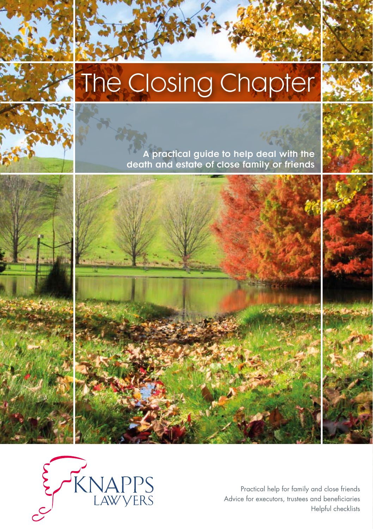# The Closing Chapter

A practical guide to help deal with the death and estate of close family or friends





Practical help for family and close friends Advice for executors, trustees and beneficiaries Helpful checklists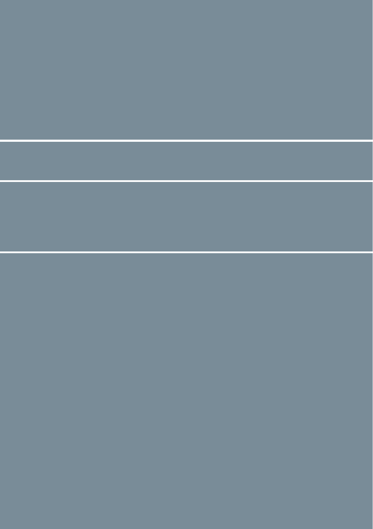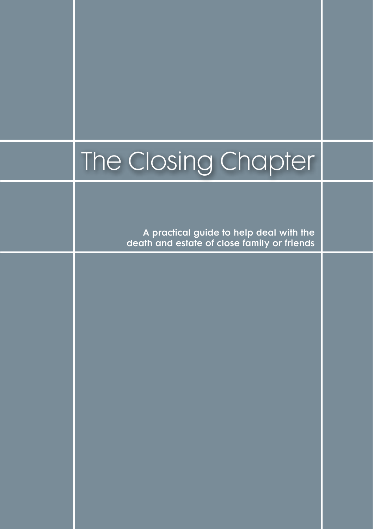# The Closing Chapter

A practical guide to help deal with the death and estate of close family or friends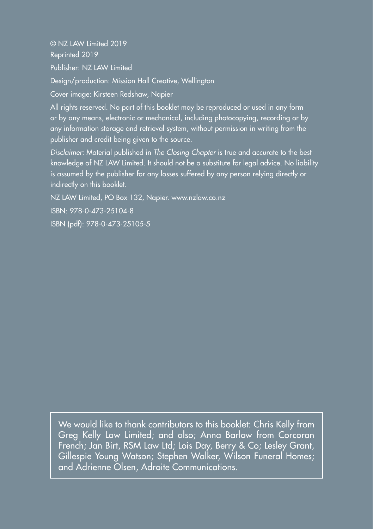© NZ LAW Limited 2019 Reprinted 2019 Publisher: NZ LAW Limited Design/production: Mission Hall Creative, Wellington Cover image: Kirsteen Redshaw, Napier

All rights reserved. No part of this booklet may be reproduced or used in any form or by any means, electronic or mechanical, including photocopying, recording or by any information storage and retrieval system, without permission in writing from the publisher and credit being given to the source.

*Disclaimer:* Material published in *The Closing Chapter* is true and accurate to the best knowledge of NZ LAW Limited. It should not be a substitute for legal advice. No liability is assumed by the publisher for any losses suffered by any person relying directly or indirectly on this booklet.

NZ LAW Limited, PO Box 132, Napier. [www.nzlaw.co.nz](http://www.nzlaw.co.nz)

ISBN: 978-0-473-25104-8

ISBN (pdf): 978-0-473-25105-5

We would like to thank contributors to this booklet: Chris Kelly from Greg Kelly Law Limited; and also; Anna Barlow from Corcoran French; Jan Birt, RSM Law Ltd; Lois Day, Berry & Co; Lesley Grant, Gillespie Young Watson; Stephen Walker, Wilson Funeral Homes; and Adrienne Olsen, Adroite Communications.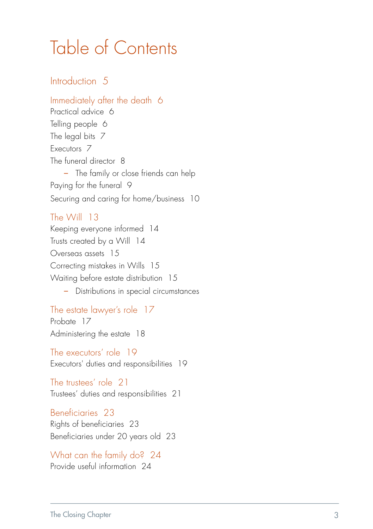# Table of Contents

#### [Introduction 5](#page-6-0)

[Immediately after the death 6](#page-7-0) [Practical advice 6](#page-7-0) [Telling people 6](#page-7-0) [The legal bits 7](#page-8-0) [Executors 7](#page-8-0) [The funeral director 8](#page-9-0) – [The family or close friends can help](#page-9-0) [Paying for the funeral 9](#page-10-0) [Securing and caring for home/business 10](#page-11-0)

#### [The Will 13](#page-14-0)

[Keeping everyone informed 14](#page-15-0) [Trusts created by a Will 14](#page-15-0) [Overseas assets 15](#page-17-0) [Correcting mistakes in Wills 15](#page-17-0) [Waiting before estate distribution 15](#page-17-0) – [Distributions in special circumstances](#page-17-0)

[The estate lawyer's role 17](#page-18-0)

[Probate 17](#page-18-0) [Administering the estate 18](#page-19-0)

[The executors' role 19](#page-20-0) [Executors' duties and responsibilities 19](#page-20-0)

[The trustees' role 21](#page-22-0) [Trustees' duties and responsibilities 21](#page-22-0)

[Beneficiaries 23](#page-24-0) [Rights of beneficiaries 23](#page-24-0) [Beneficiaries under 20 years old 23](#page-24-0)

[What can the family do? 24](#page-25-0) [Provide useful information 24](#page-25-0)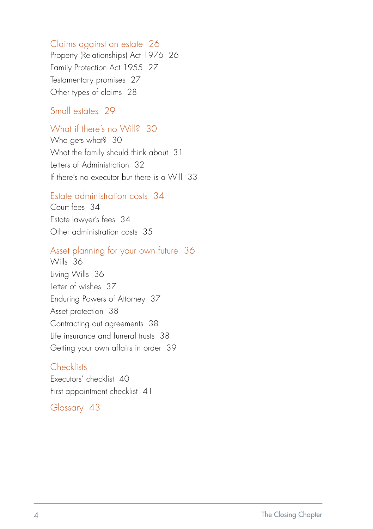#### [Claims against an estate 26](#page-27-0)

[Property \(Relationships\) Act 1976 26](#page-27-0) [Family Protection Act 1955 27](#page-28-0) [Testamentary promises 27](#page-28-0) [Other types of claims 28](#page-29-0)

#### [Small estates 29](#page-30-0)

#### [What if there's no Will? 30](#page-31-0)

[Who gets what? 30](#page-31-0) [What the family should think about 31](#page-32-0) [Letters of Administration 32](#page-33-0) [If there's no executor but there is a Will 33](#page-34-0)

#### [Estate administration costs 34](#page-35-0)

[Court fees 34](#page-35-0) [Estate lawyer's fees 34](#page-35-0) [Other administration costs 35](#page-36-0)

#### [Asset planning for your own future 36](#page-37-0)

[Wills 36](#page-37-0) [Living Wills 36](#page-37-0) [Letter of wishes 37](#page-38-0) [Enduring Powers of Attorney 37](#page-38-0) [Asset protection 38](#page-39-0) [Contracting out agreements 38](#page-39-0) [Life insurance and funeral trusts 38](#page-39-0) [Getting your own affairs in order 39](#page-40-0)

#### **[Checklists](#page-41-0)**

[Executors' checklist 40](#page-41-0) [First appointment checklist 41](#page-42-0)

[Glossary 43](#page-44-0)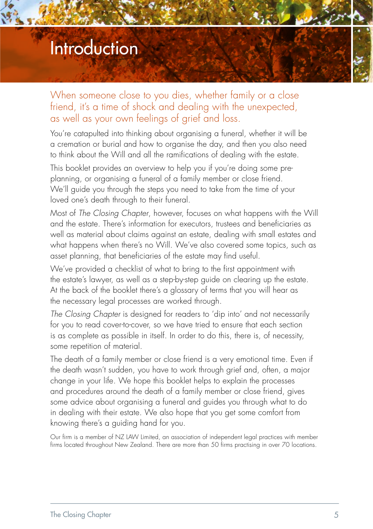# <span id="page-6-0"></span>**Introduction**

When someone close to you dies, whether family or a close friend, it's a time of shock and dealing with the unexpected, as well as your own feelings of grief and loss.

You're catapulted into thinking about organising a funeral, whether it will be a cremation or burial and how to organise the day, and then you also need to think about the Will and all the ramifications of dealing with the estate.

This booklet provides an overview to help you if you're doing some preplanning, or organising a funeral of a family member or close friend. We'll guide you through the steps you need to take from the time of your loved one's death through to their funeral.

Most of *The Closing Chapter*, however, focuses on what happens with the Will and the estate. There's information for executors, trustees and beneficiaries as well as material about claims against an estate, dealing with small estates and what happens when there's no Will. We've also covered some topics, such as asset planning, that beneficiaries of the estate may find useful.

We've provided a checklist of what to bring to the first appointment with the estate's lawyer, as well as a step-by-step guide on clearing up the estate. At the back of the booklet there's a glossary of terms that you will hear as the necessary legal processes are worked through.

*The Closing Chapter* is designed for readers to 'dip into' and not necessarily for you to read cover-to-cover, so we have tried to ensure that each section is as complete as possible in itself. In order to do this, there is, of necessity, some repetition of material.

The death of a family member or close friend is a very emotional time. Even if the death wasn't sudden, you have to work through grief and, often, a major change in your life. We hope this booklet helps to explain the processes and procedures around the death of a family member or close friend, gives some advice about organising a funeral and guides you through what to do in dealing with their estate. We also hope that you get some comfort from knowing there's a guiding hand for you.

Our firm is a member of [NZ LAW Limited](http://www.nzlaw.co.nz), an association of independent legal practices with member firms located throughout New Zealand. There are more than 50 firms practising in over 70 locations.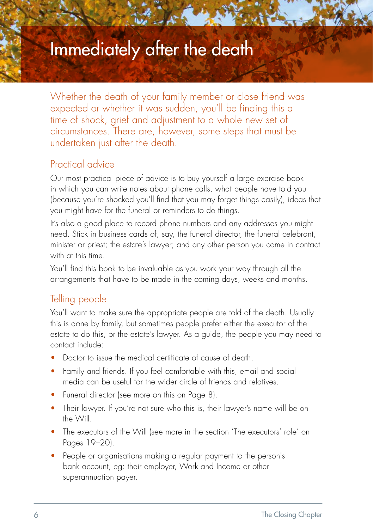# <span id="page-7-0"></span>Immediately after the death

Whether the death of your family member or close friend was expected or whether it was sudden, you'll be finding this a time of shock, grief and adjustment to a whole new set of circumstances. There are, however, some steps that must be undertaken just after the death.

### Practical advice

Our most practical piece of advice is to buy yourself a large exercise book in which you can write notes about phone calls, what people have told you (because you're shocked you'll find that you may forget things easily), ideas that you might have for the funeral or reminders to do things.

It's also a good place to record phone numbers and any addresses you might need. Stick in business cards of, say, the funeral director, the funeral celebrant, minister or priest; the estate's lawyer; and any other person you come in contact with at this time.

You'll find this book to be invaluable as you work your way through all the arrangements that have to be made in the coming days, weeks and months.

### Telling people

You'll want to make sure the appropriate people are told of the death. Usually this is done by family, but sometimes people prefer either the executor of the estate to do this, or the estate's lawyer. As a guide, the people you may need to contact include:

- Doctor to issue the medical certificate of cause of death.
- Family and friends. If you feel comfortable with this, email and social media can be useful for the wider circle of friends and relatives.
- Funeral director ([see more on this on Page 8\)](#page-9-0).
- Their lawyer. If you're not sure who this is, their lawyer's name will be on the Will.
- The executors of the Will (see more in the section 'The executors' role' on [Pages 19–20\)](#page-20-0).
- People or organisations making a regular payment to the person's bank account, eg: their employer, Work and Income or other superannuation payer.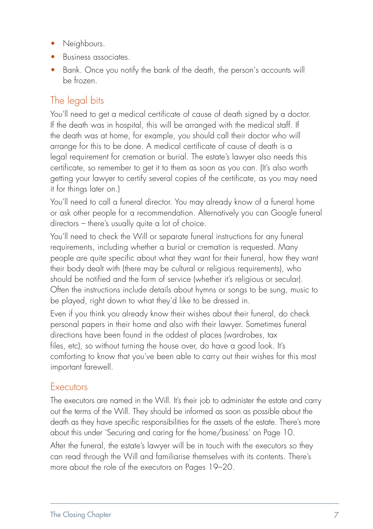- <span id="page-8-0"></span>• Neighbours.
- Business associates
- Bank. Once you notify the bank of the death, the person's accounts will be frozen.

# The legal bits

You'll need to get a medical certificate of cause of death signed by a doctor. If the death was in hospital, this will be arranged with the medical staff. If the death was at home, for example, you should call their doctor who will arrange for this to be done. A medical certificate of cause of death is a legal requirement for cremation or burial. The estate's lawyer also needs this certificate, so remember to get it to them as soon as you can. (It's also worth getting your lawyer to certify several copies of the certificate, as you may need it for things later on.)

You'll need to call a funeral director. You may already know of a funeral home or ask other people for a recommendation. Alternatively you can Google funeral directors – there's usually quite a lot of choice.

You'll need to check the Will or separate funeral instructions for any funeral requirements, including whether a burial or cremation is requested. Many people are quite specific about what they want for their funeral, how they want their body dealt with (there may be cultural or religious requirements), who should be notified and the form of service (whether it's religious or secular). Often the instructions include details about hymns or songs to be sung, music to be played, right down to what they'd like to be dressed in.

Even if you think you already know their wishes about their funeral, do check personal papers in their home and also with their lawyer. Sometimes funeral directions have been found in the oddest of places (wardrobes, tax files, etc), so without turning the house over, do have a good look. It's comforting to know that you've been able to carry out their wishes for this most important farewell.

### **Executors**

The executors are named in the Will. It's their job to administer the estate and carry out the terms of the Will. They should be informed as soon as possible about the death as they have specific responsibilities for the assets of the estate. There's more about this under 'Securing and caring for the home/business' on [Page 10](#page-11-0). After the funeral, the estate's lawyer will be in touch with the executors so they can read through the Will and familiarise themselves with its contents. There's more about the role of the executors on [Pages 19–20.](#page-20-0)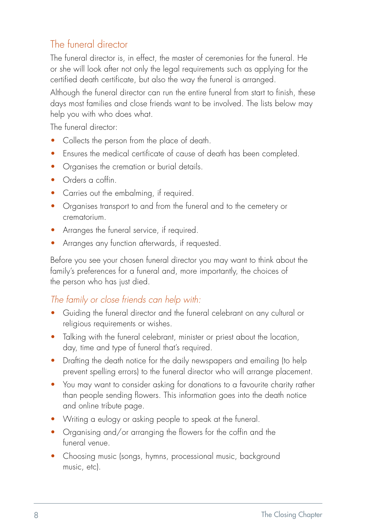# <span id="page-9-0"></span>The funeral director

The funeral director is, in effect, the master of ceremonies for the funeral. He or she will look after not only the legal requirements such as applying for the certified death certificate, but also the way the funeral is arranged.

Although the funeral director can run the entire funeral from start to finish, these days most families and close friends want to be involved. The lists below may help you with who does what.

The funeral director:

- Collects the person from the place of death.
- Ensures the medical certificate of cause of death has been completed.
- Organises the cremation or burial details.
- Orders a coffin
- Carries out the embalming, if required.
- Organises transport to and from the funeral and to the cemetery or crematorium.
- Arranges the funeral service, if required.
- Arranges any function afterwards, if requested.

Before you see your chosen funeral director you may want to think about the family's preferences for a funeral and, more importantly, the choices of the person who has just died.

#### *The family or close friends can help with:*

- Guiding the funeral director and the funeral celebrant on any cultural or religious requirements or wishes.
- Talking with the funeral celebrant, minister or priest about the location, day, time and type of funeral that's required.
- Drafting the death notice for the daily newspapers and emailing (to help prevent spelling errors) to the funeral director who will arrange placement.
- You may want to consider asking for donations to a favourite charity rather than people sending flowers. This information goes into the death notice and online tribute page.
- Writing a eulogy or asking people to speak at the funeral.
- Organising and/or arranging the flowers for the coffin and the funeral venue.
- Choosing music (songs, hymns, processional music, background music, etc).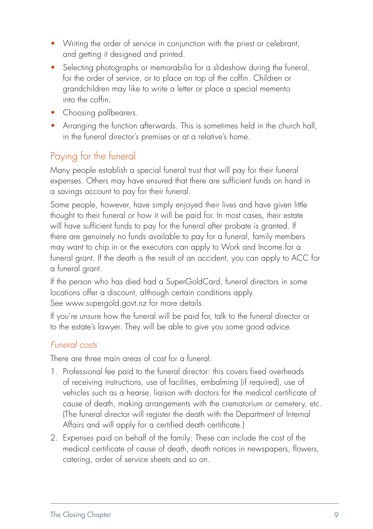- <span id="page-10-0"></span>• Writing the order of service in conjunction with the priest or celebrant, and getting it designed and printed.
- Selecting photographs or memorabilia for a slideshow during the funeral, for the order of service, or to place on top of the coffin. Children or grandchildren may like to write a letter or place a special memento into the coffin.
- Choosing pallbearers.
- Arranging the function afterwards. This is sometimes held in the church hall, in the funeral director's premises or at a relative's home.

# Paying for the funeral

Many people establish a special funeral trust that will pay for their funeral expenses. Others may have ensured that there are sufficient funds on hand in a savings account to pay for their funeral.

Some people, however, have simply enjoyed their lives and have given little thought to their funeral or how it will be paid for. In most cases, their estate will have sufficient funds to pay for the funeral after probate is granted. If there are genuinely no funds available to pay for a funeral, family members may want to chip in or the executors can apply to Work and Income for a funeral grant. If the death is the result of an accident, you can apply to ACC for a funeral grant.

If the person who has died had a SuperGoldCard, funeral directors in some locations offer a discount, although certain conditions apply. See [www.supergold.govt.nz](http://www.supergold.govt.nz) for more details.

If you're unsure how the funeral will be paid for, talk to the funeral director or to the estate's lawyer. They will be able to give you some good advice.

#### *Funeral costs*

There are three main areas of cost for a funeral:

- 1. Professional fee paid to the funeral director: this covers fixed overheads of receiving instructions, use of facilities, embalming (if required), use of vehicles such as a hearse, liaison with doctors for the medical certificate of cause of death, making arrangements with the crematorium or cemetery, etc. (The funeral director will register the death with the Department of Internal Affairs and will apply for a certified death certificate.)
- 2. Expenses paid on behalf of the family: These can include the cost of the medical certificate of cause of death, death notices in newspapers, flowers, catering, order of service sheets and so on.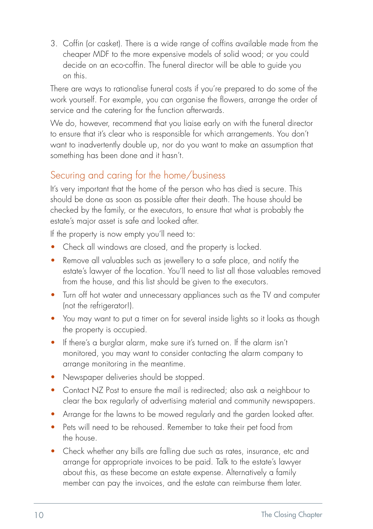<span id="page-11-0"></span>3. Coffin (or casket). There is a wide range of coffins available made from the cheaper MDF to the more expensive models of solid wood; or you could decide on an eco-coffin. The funeral director will be able to guide you on this.

There are ways to rationalise funeral costs if you're prepared to do some of the work yourself. For example, you can organise the flowers, arrange the order of service and the catering for the function afterwards.

We do, however, recommend that you liaise early on with the funeral director to ensure that it's clear who is responsible for which arrangements. You don't want to inadvertently double up, nor do you want to make an assumption that something has been done and it hasn't.

# Securing and caring for the home/business

It's very important that the home of the person who has died is secure. This should be done as soon as possible after their death. The house should be checked by the family, or the executors, to ensure that what is probably the estate's major asset is safe and looked after.

If the property is now empty you'll need to:

- Check all windows are closed, and the property is locked.
- Remove all valuables such as jewellery to a safe place, and notify the estate's lawyer of the location. You'll need to list all those valuables removed from the house, and this list should be given to the executors.
- Turn off hot water and unnecessary appliances such as the TV and computer (not the refrigerator!).
- You may want to put a timer on for several inside lights so it looks as though the property is occupied.
- If there's a buralar alarm, make sure it's turned on. If the alarm isn't monitored, you may want to consider contacting the alarm company to arrange monitoring in the meantime.
- Newspaper deliveries should be stopped.
- Contact NZ Post to ensure the mail is redirected; also ask a neighbour to clear the box regularly of advertising material and community newspapers.
- Arrange for the lawns to be mowed regularly and the garden looked after.
- Pets will need to be rehoused. Remember to take their pet food from the house.
- Check whether any bills are falling due such as rates, insurance, etc and arrange for appropriate invoices to be paid. Talk to the estate's lawyer about this, as these become an estate expense. Alternatively a family member can pay the invoices, and the estate can reimburse them later.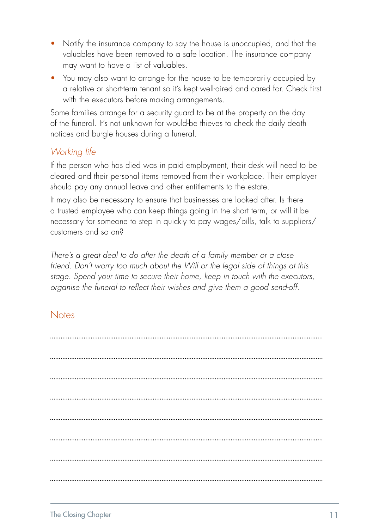- Notify the insurance company to say the house is unoccupied, and that the valuables have been removed to a safe location. The insurance company may want to have a list of valuables.
- You may also want to arrange for the house to be temporarily occupied by a relative or short-term tenant so it's kept well-aired and cared for. Check first with the executors before making arrangements.

Some families arrange for a security guard to be at the property on the day of the funeral. It's not unknown for would-be thieves to check the daily death notices and burgle houses during a funeral.

#### *Working life*

If the person who has died was in paid employment, their desk will need to be cleared and their personal items removed from their workplace. Their employer should pay any annual leave and other entitlements to the estate.

It may also be necessary to ensure that businesses are looked after. Is there a trusted employee who can keep things going in the short term, or will it be necessary for someone to step in quickly to pay wages/bills, talk to suppliers/ customers and so on?

*There's a great deal to do after the death of a family member or a close friend. Don't worry too much about the Will or the legal side of things at this stage. Spend your time to secure their home, keep in touch with the executors, organise the funeral to reflect their wishes and give them a good send-off.*

### Notes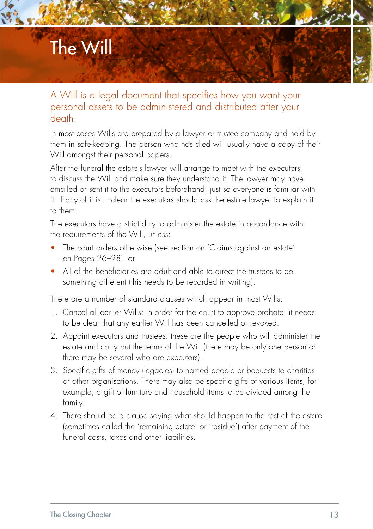<span id="page-14-0"></span>

A Will is a legal document that specifies how you want your personal assets to be administered and distributed after your death.

In most cases Wills are prepared by a lawyer or trustee company and held by them in safe-keeping. The person who has died will usually have a copy of their Will amongst their personal papers.

After the funeral the estate's lawyer will arrange to meet with the executors to discuss the Will and make sure they understand it. The lawyer may have emailed or sent it to the executors beforehand, just so everyone is familiar with it. If any of it is unclear the executors should ask the estate lawyer to explain it to them.

The executors have a strict duty to administer the estate in accordance with the requirements of the Will, unless:

- The court orders otherwise (see section on 'Claims against an estate' on [Pages 26–28](#page-27-0)), or
- All of the beneficiaries are adult and able to direct the trustees to do something different (this needs to be recorded in writing).

There are a number of standard clauses which appear in most Wills:

- 1. Cancel all earlier Wills: in order for the court to approve probate, it needs to be clear that any earlier Will has been cancelled or revoked.
- 2. Appoint executors and trustees: these are the people who will administer the estate and carry out the terms of the Will (there may be only one person or there may be several who are executors).
- 3. Specific gifts of money (legacies) to named people or bequests to charities or other organisations. There may also be specific gifts of various items, for example, a gift of furniture and household items to be divided among the family.
- 4. There should be a clause saying what should happen to the rest of the estate (sometimes called the 'remaining estate' or 'residue') after payment of the funeral costs, taxes and other liabilities.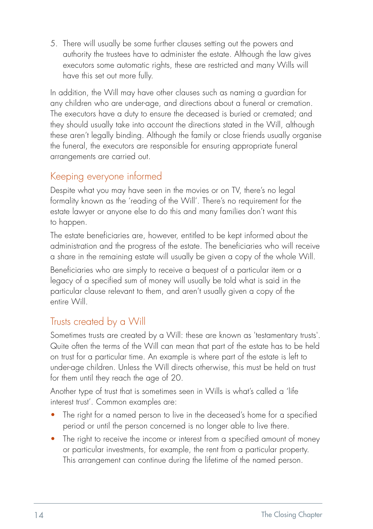<span id="page-15-0"></span>5. There will usually be some further clauses setting out the powers and authority the trustees have to administer the estate. Although the law gives executors some automatic rights, these are restricted and many Wills will have this set out more fully.

In addition, the Will may have other clauses such as naming a guardian for any children who are under-age, and directions about a funeral or cremation. The executors have a duty to ensure the deceased is buried or cremated; and they should usually take into account the directions stated in the Will, although these aren't legally binding. Although the family or close friends usually organise the funeral, the executors are responsible for ensuring appropriate funeral arrangements are carried out.

### Keeping everyone informed

Despite what you may have seen in the movies or on TV, there's no legal formality known as the 'reading of the Will'. There's no requirement for the estate lawyer or anyone else to do this and many families don't want this to happen.

The estate beneficiaries are, however, entitled to be kept informed about the administration and the progress of the estate. The beneficiaries who will receive a share in the remaining estate will usually be given a copy of the whole Will.

Beneficiaries who are simply to receive a bequest of a particular item or a legacy of a specified sum of money will usually be told what is said in the particular clause relevant to them, and aren't usually given a copy of the entire Will.

### Trusts created by a Will

Sometimes trusts are created by a Will: these are known as 'testamentary trusts'. Quite often the terms of the Will can mean that part of the estate has to be held on trust for a particular time. An example is where part of the estate is left to under-age children. Unless the Will directs otherwise, this must be held on trust for them until they reach the age of 20.

Another type of trust that is sometimes seen in Wills is what's called a 'life interest trust'. Common examples are:

- The right for a named person to live in the deceased's home for a specified period or until the person concerned is no longer able to live there.
- The right to receive the income or interest from a specified amount of money or particular investments, for example, the rent from a particular property. This arrangement can continue during the lifetime of the named person.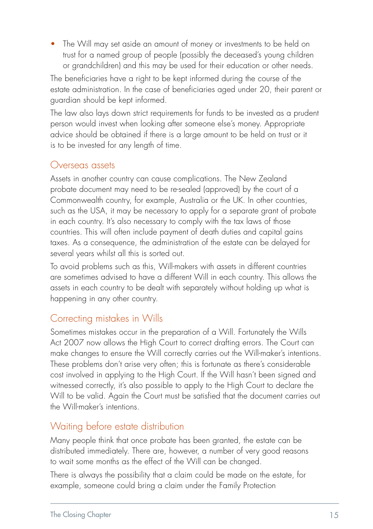<span id="page-16-0"></span>• The Will may set aside an amount of money or investments to be held on trust for a named group of people (possibly the deceased's young children or grandchildren) and this may be used for their education or other needs.

The beneficiaries have a right to be kept informed during the course of the estate administration. In the case of beneficiaries aged under 20, their parent or guardian should be kept informed.

The law also lays down strict requirements for funds to be invested as a prudent person would invest when looking after someone else's money. Appropriate advice should be obtained if there is a large amount to be held on trust or it is to be invested for any length of time.

#### Overseas assets

Assets in another country can cause complications. The New Zealand probate document may need to be re-sealed (approved) by the court of a Commonwealth country, for example, Australia or the UK. In other countries, such as the USA, it may be necessary to apply for a separate grant of probate in each country. It's also necessary to comply with the tax laws of those countries. This will often include payment of death duties and capital gains taxes. As a consequence, the administration of the estate can be delayed for several years whilst all this is sorted out.

To avoid problems such as this, Will-makers with assets in different countries are sometimes advised to have a different Will in each country. This allows the assets in each country to be dealt with separately without holding up what is happening in any other country.

### Correcting mistakes in Wills

Sometimes mistakes occur in the preparation of a Will. Fortunately the Wills Act 2007 now allows the High Court to correct drafting errors. The Court can make changes to ensure the Will correctly carries out the Will-maker's intentions. These problems don't arise very often; this is fortunate as there's considerable cost involved in applying to the High Court. If the Will hasn't been signed and witnessed correctly, it's also possible to apply to the High Court to declare the Will to be valid. Again the Court must be satisfied that the document carries out the Will-maker's intentions.

### Waiting before estate distribution

Many people think that once probate has been granted, the estate can be distributed immediately. There are, however, a number of very good reasons to wait some months as the effect of the Will can be changed.

There is always the possibility that a claim could be made on the estate, for example, someone could bring a claim under the Family Protection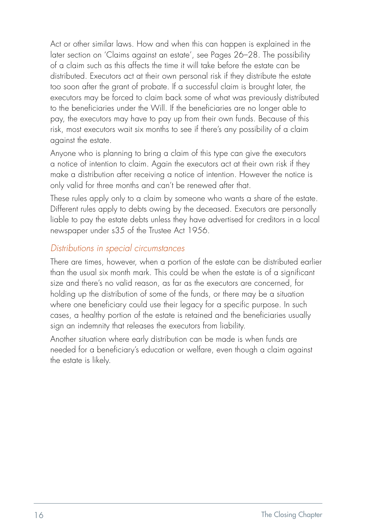<span id="page-17-0"></span>Act or other similar laws. How and when this can happen is explained in the later section on 'Claims against an estate', see [Pages 26–28](#page-27-0). The possibility of a claim such as this affects the time it will take before the estate can be distributed. Executors act at their own personal risk if they distribute the estate too soon after the grant of probate. If a successful claim is brought later, the executors may be forced to claim back some of what was previously distributed to the beneficiaries under the Will. If the beneficiaries are no longer able to pay, the executors may have to pay up from their own funds. Because of this risk, most executors wait six months to see if there's any possibility of a claim against the estate.

Anyone who is planning to bring a claim of this type can give the executors a notice of intention to claim. Again the executors act at their own risk if they make a distribution after receiving a notice of intention. However the notice is only valid for three months and can't be renewed after that.

These rules apply only to a claim by someone who wants a share of the estate. Different rules apply to debts owing by the deceased. Executors are personally liable to pay the estate debts unless they have advertised for creditors in a local newspaper under s35 of the Trustee Act 1956.

#### *Distributions in special circumstances*

There are times, however, when a portion of the estate can be distributed earlier than the usual six month mark. This could be when the estate is of a significant size and there's no valid reason, as far as the executors are concerned, for holding up the distribution of some of the funds, or there may be a situation where one beneficiary could use their legacy for a specific purpose. In such cases, a healthy portion of the estate is retained and the beneficiaries usually sign an indemnity that releases the executors from liability.

Another situation where early distribution can be made is when funds are needed for a beneficiary's education or welfare, even though a claim against the estate is likely.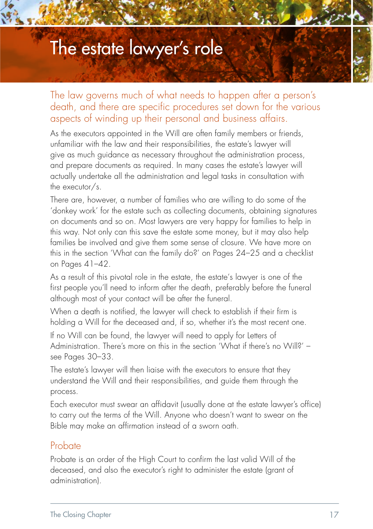# <span id="page-18-0"></span>The estate lawyer's role

The law governs much of what needs to happen after a person's death, and there are specific procedures set down for the various aspects of winding up their personal and business affairs.

As the executors appointed in the Will are often family members or friends, unfamiliar with the law and their responsibilities, the estate's lawyer will give as much guidance as necessary throughout the administration process, and prepare documents as required. In many cases the estate's lawyer will actually undertake all the administration and legal tasks in consultation with the executor/s.

There are, however, a number of families who are willing to do some of the 'donkey work' for the estate such as collecting documents, obtaining signatures on documents and so on. Most lawyers are very happy for families to help in this way. Not only can this save the estate some money, but it may also help families be involved and give them some sense of closure. We have more on this in the section 'What can the family do?' on [Pages 24–25](#page-25-0) and a checklist on [Pages 41–42](#page-42-0).

As a result of this pivotal role in the estate, the estate's lawyer is one of the first people you'll need to inform after the death, preferably before the funeral although most of your contact will be after the funeral.

When a death is notified, the lawyer will check to establish if their firm is holding a Will for the deceased and, if so, whether it's the most recent one.

If no Will can be found, the lawyer will need to apply for Letters of Administration. There's more on this in the section 'What if there's no Will?' – see [Pages 30–33](#page-31-0).

The estate's lawyer will then liaise with the executors to ensure that they understand the Will and their responsibilities, and guide them through the process.

Each executor must swear an affidavit (usually done at the estate lawyer's office) to carry out the terms of the Will. Anyone who doesn't want to swear on the Bible may make an affirmation instead of a sworn oath.

### Probate

Probate is an order of the High Court to confirm the last valid Will of the deceased, and also the executor's right to administer the estate (grant of administration).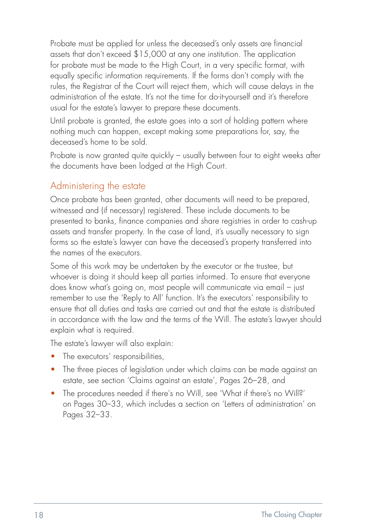<span id="page-19-0"></span>Probate must be applied for unless the deceased's only assets are financial assets that don't exceed \$15,000 at any one institution. The application for probate must be made to the High Court, in a very specific format, with equally specific information requirements. If the forms don't comply with the rules, the Registrar of the Court will reject them, which will cause delays in the administration of the estate. It's not the time for do-it-yourself and it's therefore usual for the estate's lawyer to prepare these documents.

Until probate is granted, the estate goes into a sort of holding pattern where nothing much can happen, except making some preparations for, say, the deceased's home to be sold.

Probate is now granted quite quickly – usually between four to eight weeks after the documents have been lodged at the High Court.

### Administering the estate

Once probate has been granted, other documents will need to be prepared, witnessed and (if necessary) registered. These include documents to be presented to banks, finance companies and share registries in order to cash-up assets and transfer property. In the case of land, it's usually necessary to sign forms so the estate's lawyer can have the deceased's property transferred into the names of the executors.

Some of this work may be undertaken by the executor or the trustee, but whoever is doing it should keep all parties informed. To ensure that everyone does know what's going on, most people will communicate via email – just remember to use the 'Reply to All' function. It's the executors' responsibility to ensure that all duties and tasks are carried out and that the estate is distributed in accordance with the law and the terms of the Will. The estate's lawyer should explain what is required.

The estate's lawyer will also explain:

- The executors' responsibilities,
- The three pieces of legislation under which claims can be made against an estate, see section 'Claims against an estate', [Pages 26–28,](#page-27-0) and
- The procedures needed if there's no Will, see 'What if there's no Will?' on [Pages 30–33](#page-31-0), which includes a section on 'Letters of administration' on [Pages 32–33.](#page-33-0)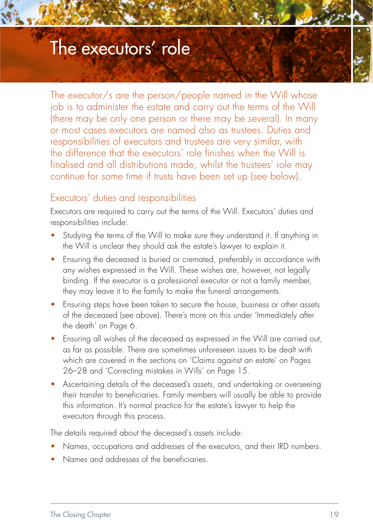# <span id="page-20-0"></span>The executors' role

The executor/s are the person/people named in the Will whose job is to administer the estate and carry out the terms of the Will (there may be only one person or there may be several). In many or most cases executors are named also as trustees. Duties and responsibilities of executors and trustees are very similar, with the difference that the executors' role finishes when the Will is finalised and all distributions made, whilst the trustees' role may continue for some time if trusts have been set up (see below).

### Executors' duties and responsibilities

Executors are required to carry out the terms of the Will. Executors' duties and responsibilities include:

- Studying the terms of the Will to make sure they understand it. If anything in the Will is unclear they should ask the estate's lawyer to explain it.
- Ensuring the deceased is buried or cremated, preferably in accordance with any wishes expressed in the Will. These wishes are, however, not legally binding. If the executor is a professional executor or not a family member, they may leave it to the family to make the funeral arrangements.
- Ensuring steps have been taken to secure the house, business or other assets of the deceased (see above). There's more on this under 'Immediately after the death' on [Page 6.](#page-7-0)
- Ensuring all wishes of the deceased as expressed in the Will are carried out, as far as possible. There are sometimes unforeseen issues to be dealt with which are covered in the sections on 'Claims against an estate' on [Pages](#page-27-0)  [26–28](#page-27-0) and 'Correcting mistakes in Wills' on [Page 15](#page-16-0).
- Ascertaining details of the deceased's assets, and undertaking or overseeing their transfer to beneficiaries. Family members will usually be able to provide this information. It's normal practice for the estate's lawyer to help the executors through this process.

The details required about the deceased's assets include:

- Names, occupations and addresses of the executors, and their IRD numbers.
- Names and addresses of the beneficiaries.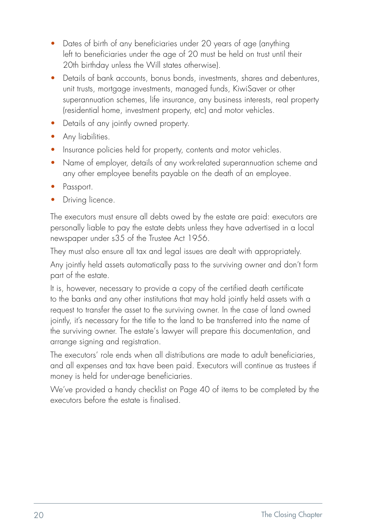- Dates of birth of any beneficiaries under 20 years of age (anything left to beneficiaries under the age of 20 must be held on trust until their 20th birthday unless the Will states otherwise).
- Details of bank accounts, bonus bonds, investments, shares and debentures, unit trusts, mortgage investments, managed funds, KiwiSaver or other superannuation schemes, life insurance, any business interests, real property (residential home, investment property, etc) and motor vehicles.
- Details of any jointly owned property.
- Any liabilities.
- Insurance policies held for property, contents and motor vehicles.
- Name of employer, details of any work-related superannuation scheme and any other employee benefits payable on the death of an employee.
- Passport.
- Driving licence.

The executors must ensure all debts owed by the estate are paid: executors are personally liable to pay the estate debts unless they have advertised in a local newspaper under s35 of the Trustee Act 1956.

They must also ensure all tax and legal issues are dealt with appropriately.

Any jointly held assets automatically pass to the surviving owner and don't form part of the estate.

It is, however, necessary to provide a copy of the certified death certificate to the banks and any other institutions that may hold jointly held assets with a request to transfer the asset to the surviving owner. In the case of land owned jointly, it's necessary for the title to the land to be transferred into the name of the surviving owner. The estate's lawyer will prepare this documentation, and arrange signing and registration.

The executors' role ends when all distributions are made to adult beneficiaries, and all expenses and tax have been paid. Executors will continue as trustees if money is held for under-age beneficiaries.

We've provided a handy checklist on [Page 40](#page-41-0) of items to be completed by the executors before the estate is finalised.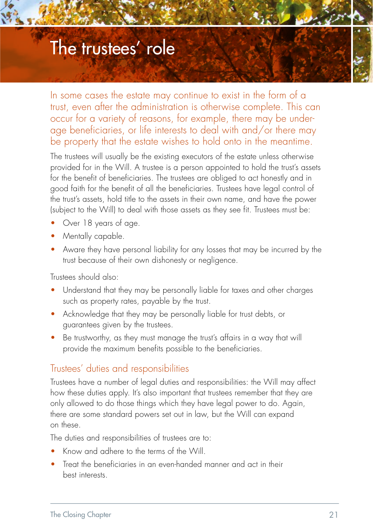# <span id="page-22-0"></span>The trustees' role

In some cases the estate may continue to exist in the form of a trust, even after the administration is otherwise complete. This can occur for a variety of reasons, for example, there may be underage beneficiaries, or life interests to deal with and/or there may be property that the estate wishes to hold onto in the meantime.

The trustees will usually be the existing executors of the estate unless otherwise provided for in the Will. A trustee is a person appointed to hold the trust's assets for the benefit of beneficiaries. The trustees are obliged to act honestly and in good faith for the benefit of all the beneficiaries. Trustees have legal control of the trust's assets, hold title to the assets in their own name, and have the power (subject to the Will) to deal with those assets as they see fit. Trustees must be:

- Over 18 years of age.
- Mentally capable.
- Aware they have personal liability for any losses that may be incurred by the trust because of their own dishonesty or negligence.

Trustees should also:

- Understand that they may be personally liable for taxes and other charges such as property rates, payable by the trust.
- Acknowledge that they may be personally liable for trust debts, or guarantees given by the trustees.
- Be trustworthy, as they must manage the trust's affairs in a way that will provide the maximum benefits possible to the beneficiaries.

#### Trustees' duties and responsibilities

Trustees have a number of legal duties and responsibilities: the Will may affect how these duties apply. It's also important that trustees remember that they are only allowed to do those things which they have legal power to do. Again, there are some standard powers set out in law, but the Will can expand on these.

The duties and responsibilities of trustees are to:

- Know and adhere to the terms of the Will.
- Treat the beneficiaries in an even-handed manner and act in their best interests.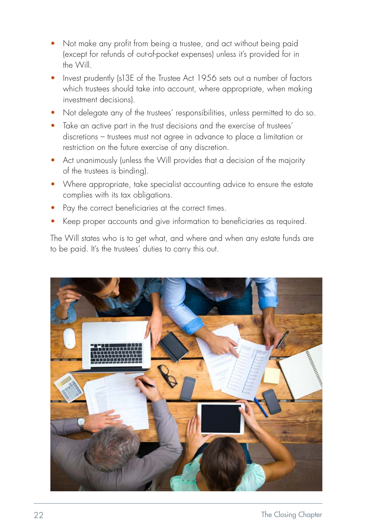- Not make any profit from being a trustee, and act without being paid (except for refunds of out-of-pocket expenses) unless it's provided for in the Will.
- Invest prudently (s13E of the Trustee Act 1956 sets out a number of factors which trustees should take into account, where appropriate, when making investment decisions).
- Not delegate any of the trustees' responsibilities, unless permitted to do so.
- Take an active part in the trust decisions and the exercise of trustees' discretions – trustees must not agree in advance to place a limitation or restriction on the future exercise of any discretion.
- Act unanimously (unless the Will provides that a decision of the majority of the trustees is binding).
- Where appropriate, take specialist accounting advice to ensure the estate complies with its tax obligations.
- Pay the correct beneficiaries at the correct times.
- Keep proper accounts and give information to beneficiaries as required.

The Will states who is to get what, and where and when any estate funds are to be paid. It's the trustees' duties to carry this out.

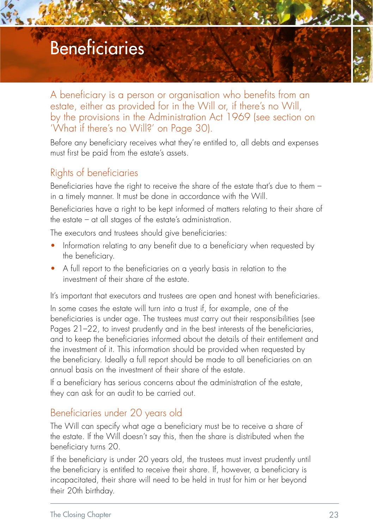# <span id="page-24-0"></span>**Beneficiaries**

A beneficiary is a person or organisation who benefits from an estate, either as provided for in the Will or, if there's no Will, by the provisions in the Administration Act 1969 (see section on 'What if there's no Will?' on [Page 30\)](#page-31-0).

Before any beneficiary receives what they're entitled to, all debts and expenses must first be paid from the estate's assets.

### Rights of beneficiaries

Beneficiaries have the right to receive the share of the estate that's due to them – in a timely manner. It must be done in accordance with the Will.

Beneficiaries have a right to be kept informed of matters relating to their share of the estate – at all stages of the estate's administration.

The executors and trustees should give beneficiaries:

- Information relating to any benefit due to a beneficiary when requested by the beneficiary.
- A full report to the beneficiaries on a vearly basis in relation to the investment of their share of the estate.

It's important that executors and trustees are open and honest with beneficiaries.

In some cases the estate will turn into a trust if, for example, one of the beneficiaries is under age. The trustees must carry out their responsibilities (see [Pages 21–22,](#page-22-0) to invest prudently and in the best interests of the beneficiaries, and to keep the beneficiaries informed about the details of their entitlement and the investment of it. This information should be provided when requested by the beneficiary. Ideally a full report should be made to all beneficiaries on an annual basis on the investment of their share of the estate.

If a beneficiary has serious concerns about the administration of the estate, they can ask for an audit to be carried out.

### Beneficiaries under 20 years old

The Will can specify what age a beneficiary must be to receive a share of the estate. If the Will doesn't say this, then the share is distributed when the beneficiary turns 20.

If the beneficiary is under 20 years old, the trustees must invest prudently until the beneficiary is entitled to receive their share. If, however, a beneficiary is incapacitated, their share will need to be held in trust for him or her beyond their 20th birthday.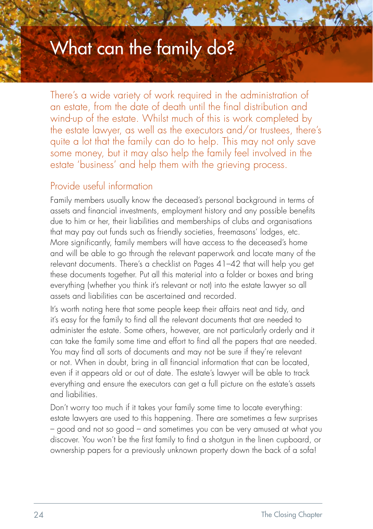# <span id="page-25-0"></span>What can the family do?

There's a wide variety of work required in the administration of an estate, from the date of death until the final distribution and wind-up of the estate. Whilst much of this is work completed by the estate lawyer, as well as the executors and/or trustees, there's quite a lot that the family can do to help. This may not only save some money, but it may also help the family feel involved in the estate 'business' and help them with the grieving process.

### Provide useful information

Family members usually know the deceased's personal background in terms of assets and financial investments, employment history and any possible benefits due to him or her, their liabilities and memberships of clubs and organisations that may pay out funds such as friendly societies, freemasons' lodges, etc. More significantly, family members will have access to the deceased's home and will be able to go through the relevant paperwork and locate many of the relevant documents. There's a checklist on [Pages 41–42](#page-42-0) that will help you get these documents together. Put all this material into a folder or boxes and bring everything (whether you think it's relevant or not) into the estate lawyer so all assets and liabilities can be ascertained and recorded.

It's worth noting here that some people keep their affairs neat and tidy, and it's easy for the family to find all the relevant documents that are needed to administer the estate. Some others, however, are not particularly orderly and it can take the family some time and effort to find all the papers that are needed. You may find all sorts of documents and may not be sure if they're relevant or not. When in doubt, bring in all financial information that can be located, even if it appears old or out of date. The estate's lawyer will be able to track everything and ensure the executors can get a full picture on the estate's assets and liabilities.

Don't worry too much if it takes your family some time to locate everything: estate lawyers are used to this happening. There are sometimes a few surprises – good and not so good – and sometimes you can be very amused at what you discover. You won't be the first family to find a shotgun in the linen cupboard, or ownership papers for a previously unknown property down the back of a sofa!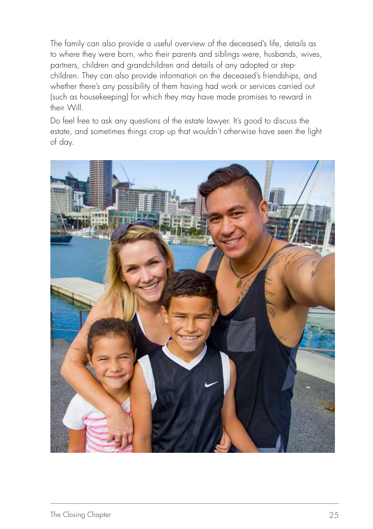The family can also provide a useful overview of the deceased's life, details as to where they were born, who their parents and siblings were, husbands, wives, partners, children and grandchildren and details of any adopted or stepchildren. They can also provide information on the deceased's friendships, and whether there's any possibility of them having had work or services carried out (such as housekeeping) for which they may have made promises to reward in their Will.

Do feel free to ask any questions of the estate lawyer. It's good to discuss the estate, and sometimes things crop up that wouldn't otherwise have seen the light of day.

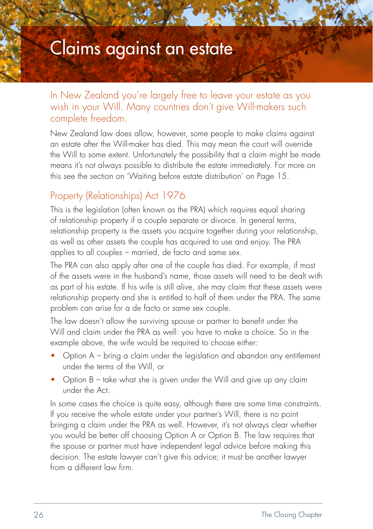# <span id="page-27-0"></span>Claims against an estate

In New Zealand you're largely free to leave your estate as you wish in your Will. Many countries don't give Will-makers such complete freedom.

New Zealand law does allow, however, some people to make claims against an estate after the Will-maker has died. This may mean the court will override the Will to some extent. Unfortunately the possibility that a claim might be made means it's not always possible to distribute the estate immediately. For more on this see the section on 'Waiting before estate distribution' on [Page 15.](#page-16-0)

# Property (Relationships) Act 1976

This is the legislation (often known as the PRA) which requires equal sharing of relationship property if a couple separate or divorce. In general terms, relationship property is the assets you acquire together during your relationship, as well as other assets the couple has acquired to use and enjoy. The PRA applies to all couples – married, de facto and same sex.

The PRA can also apply after one of the couple has died. For example, if most of the assets were in the husband's name, those assets will need to be dealt with as part of his estate. If his wife is still alive, she may claim that these assets were relationship property and she is entitled to half of them under the PRA. The same problem can arise for a de facto or same sex couple.

The law doesn't allow the surviving spouse or partner to benefit under the Will and claim under the PRA as well: you have to make a choice. So in the example above, the wife would be required to choose either:

- Option A bring a claim under the legislation and abandon any entitlement under the terms of the Will, or
- Option B take what she is given under the Will and give up any claim under the Act.

In some cases the choice is quite easy, although there are some time constraints. If you receive the whole estate under your partner's Will, there is no point bringing a claim under the PRA as well. However, it's not always clear whether you would be better off choosing Option A or Option B. The law requires that the spouse or partner must have independent legal advice before making this decision. The estate lawyer can't give this advice; it must be another lawyer from a different law firm.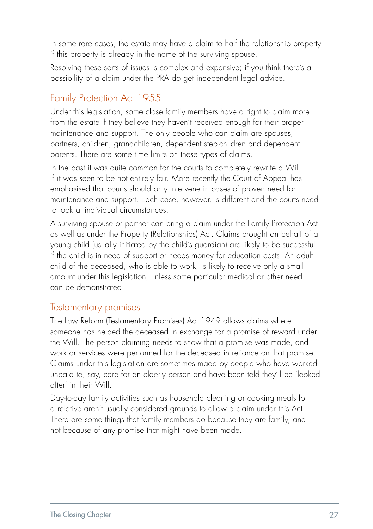<span id="page-28-0"></span>In some rare cases, the estate may have a claim to half the relationship property if this property is already in the name of the surviving spouse.

Resolving these sorts of issues is complex and expensive; if you think there's a possibility of a claim under the PRA do get independent legal advice.

### Family Protection Act 1955

Under this legislation, some close family members have a right to claim more from the estate if they believe they haven't received enough for their proper maintenance and support. The only people who can claim are spouses, partners, children, grandchildren, dependent step-children and dependent parents. There are some time limits on these types of claims.

In the past it was quite common for the courts to completely rewrite a Will if it was seen to be not entirely fair. More recently the Court of Appeal has emphasised that courts should only intervene in cases of proven need for maintenance and support. Each case, however, is different and the courts need to look at individual circumstances.

A surviving spouse or partner can bring a claim under the Family Protection Act as well as under the Property (Relationships) Act. Claims brought on behalf of a young child (usually initiated by the child's guardian) are likely to be successful if the child is in need of support or needs money for education costs. An adult child of the deceased, who is able to work, is likely to receive only a small amount under this legislation, unless some particular medical or other need can be demonstrated.

#### Testamentary promises

The Law Reform (Testamentary Promises) Act 1949 allows claims where someone has helped the deceased in exchange for a promise of reward under the Will. The person claiming needs to show that a promise was made, and work or services were performed for the deceased in reliance on that promise. Claims under this legislation are sometimes made by people who have worked unpaid to, say, care for an elderly person and have been told they'll be 'looked after' in their Will.

Day-to-day family activities such as household cleaning or cooking meals for a relative aren't usually considered grounds to allow a claim under this Act. There are some things that family members do because they are family, and not because of any promise that might have been made.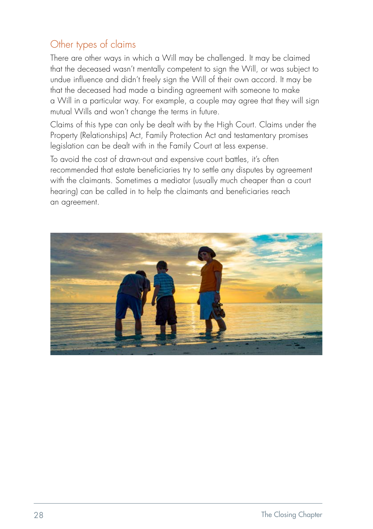# <span id="page-29-0"></span>Other types of claims

There are other ways in which a Will may be challenged. It may be claimed that the deceased wasn't mentally competent to sign the Will, or was subject to undue influence and didn't freely sign the Will of their own accord. It may be that the deceased had made a binding agreement with someone to make a Will in a particular way. For example, a couple may agree that they will sign mutual Wills and won't change the terms in future.

Claims of this type can only be dealt with by the High Court. Claims under the Property (Relationships) Act, Family Protection Act and testamentary promises legislation can be dealt with in the Family Court at less expense.

To avoid the cost of drawn-out and expensive court battles, it's often recommended that estate beneficiaries try to settle any disputes by agreement with the claimants. Sometimes a mediator (usually much cheaper than a court hearing) can be called in to help the claimants and beneficiaries reach an agreement.

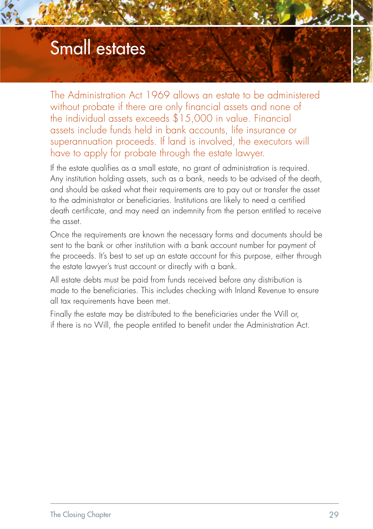# <span id="page-30-0"></span>Small estates

The Administration Act 1969 allows an estate to be administered without probate if there are only financial assets and none of the individual assets exceeds \$15,000 in value. Financial assets include funds held in bank accounts, life insurance or superannuation proceeds. If land is involved, the executors will have to apply for probate through the estate lawyer.

If the estate qualifies as a small estate, no grant of administration is required. Any institution holding assets, such as a bank, needs to be advised of the death, and should be asked what their requirements are to pay out or transfer the asset to the administrator or beneficiaries. Institutions are likely to need a certified death certificate, and may need an indemnity from the person entitled to receive the asset.

Once the requirements are known the necessary forms and documents should be sent to the bank or other institution with a bank account number for payment of the proceeds. It's best to set up an estate account for this purpose, either through the estate lawyer's trust account or directly with a bank.

All estate debts must be paid from funds received before any distribution is made to the beneficiaries. This includes checking with Inland Revenue to ensure all tax requirements have been met.

Finally the estate may be distributed to the beneficiaries under the Will or, if there is no Will, the people entitled to benefit under the Administration Act.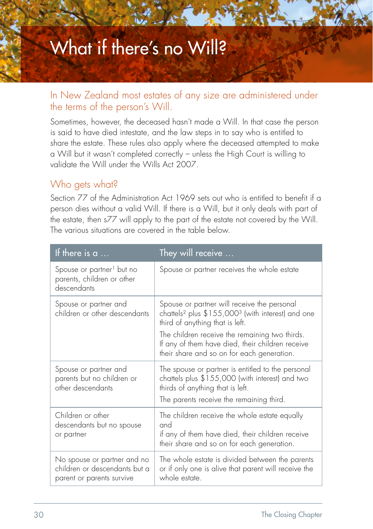# <span id="page-31-0"></span>What if there's no Will?

#### In New Zealand most estates of any size are administered under the terms of the person's Will.

Sometimes, however, the deceased hasn't made a Will. In that case the person is said to have died intestate, and the law steps in to say who is entitled to share the estate. These rules also apply where the deceased attempted to make a Will but it wasn't completed correctly – unless the High Court is willing to validate the Will under the Wills Act 2007.

#### Who gets what?

Section 77 of the Administration Act 1969 sets out who is entitled to benefit if a person dies without a valid Will. If there is a Will, but it only deals with part of the estate, then s77 will apply to the part of the estate not covered by the Will. The various situations are covered in the table below.

| If there is $a \ldots$                                                                    | They will receive                                                                                                                                                                                                                                                                                               |
|-------------------------------------------------------------------------------------------|-----------------------------------------------------------------------------------------------------------------------------------------------------------------------------------------------------------------------------------------------------------------------------------------------------------------|
| Spouse or partner <sup>1</sup> but no<br>parents, children or other<br>descendants        | Spouse or partner receives the whole estate                                                                                                                                                                                                                                                                     |
| Spouse or partner and<br>children or other descendants                                    | Spouse or partner will receive the personal<br>chattels <sup>2</sup> plus \$155,000 <sup>3</sup> (with interest) and one<br>third of anything that is left.<br>The children receive the remaining two thirds.<br>If any of them have died, their children receive<br>their share and so on for each generation. |
| Spouse or partner and<br>parents but no children or<br>other descendants                  | The spouse or partner is entitled to the personal<br>chattels plus \$155,000 (with interest) and two<br>thirds of anything that is left.<br>The parents receive the remaining third.                                                                                                                            |
| Children or other<br>descendants but no spouse<br>or partner                              | The children receive the whole estate equally<br>and<br>if any of them have died, their children receive<br>their share and so on for each generation.                                                                                                                                                          |
| No spouse or partner and no<br>children or descendants but a<br>parent or parents survive | The whole estate is divided between the parents<br>or if only one is alive that parent will receive the<br>whole estate.                                                                                                                                                                                        |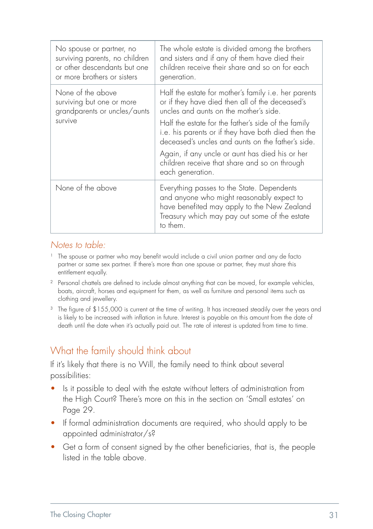<span id="page-32-0"></span>

| No spouse or partner, no<br>surviving parents, no children<br>or other descendants but one<br>or more brothers or sisters | The whole estate is divided among the brothers<br>and sisters and if any of them have died their<br>children receive their share and so on for each<br>generation.                                                                                                                                                                                                                                                                           |
|---------------------------------------------------------------------------------------------------------------------------|----------------------------------------------------------------------------------------------------------------------------------------------------------------------------------------------------------------------------------------------------------------------------------------------------------------------------------------------------------------------------------------------------------------------------------------------|
| None of the above<br>surviving but one or more<br>grandparents or uncles/aunts<br>survive                                 | Half the estate for mother's family i.e. her parents<br>or if they have died then all of the deceased's<br>uncles and aunts on the mother's side.<br>Half the estate for the father's side of the family<br>i.e. his parents or if they have both died then the<br>deceased's uncles and aunts on the father's side.<br>Again, if any uncle or aunt has died his or her<br>children receive that share and so on through<br>each generation. |
| None of the above                                                                                                         | Everything passes to the State. Dependents<br>and anyone who might reasonably expect to<br>have benefited may apply to the New Zealand<br>Treasury which may pay out some of the estate<br>to them.                                                                                                                                                                                                                                          |

#### *Notes to table:*

- <sup>1</sup> The spouse or partner who may benefit would include a civil union partner and any de facto partner or same sex partner. If there's more than one spouse or partner, they must share this entitlement equally.
- <sup>2</sup> Personal chattels are defined to include almost anything that can be moved, for example vehicles, boats, aircraft, horses and equipment for them, as well as furniture and personal items such as clothing and jewellery.
- <sup>3</sup> The figure of \$155,000 is current at the time of writing. It has increased steadily over the years and is likely to be increased with inflation in future. Interest is payable on this amount from the date of death until the date when it's actually paid out. The rate of interest is updated from time to time.

# What the family should think about

If it's likely that there is no Will, the family need to think about several possibilities:

- Is it possible to deal with the estate without letters of administration from the High Court? There's more on this in the section on 'Small estates' on [Page 29](#page-30-0).
- If formal administration documents are required, who should apply to be appointed administrator/s?
- Get a form of consent signed by the other beneficiaries, that is, the people listed in the table above.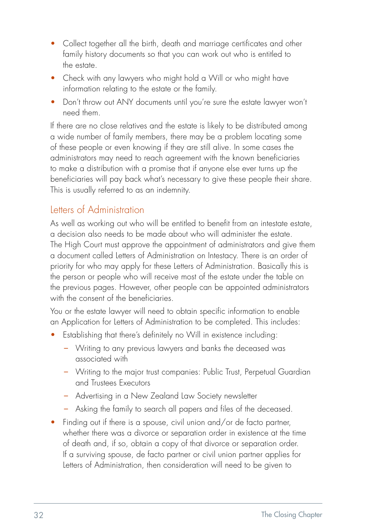- <span id="page-33-0"></span>• Collect together all the birth, death and marriage certificates and other family history documents so that you can work out who is entitled to the estate.
- Check with any lawyers who might hold a Will or who might have information relating to the estate or the family.
- Don't throw out ANY documents until you're sure the estate lawyer won't need them.

If there are no close relatives and the estate is likely to be distributed among a wide number of family members, there may be a problem locating some of these people or even knowing if they are still alive. In some cases the administrators may need to reach agreement with the known beneficiaries to make a distribution with a promise that if anyone else ever turns up the beneficiaries will pay back what's necessary to give these people their share. This is usually referred to as an indemnity.

### Letters of Administration

As well as working out who will be entitled to benefit from an intestate estate, a decision also needs to be made about who will administer the estate. The High Court must approve the appointment of administrators and give them a document called Letters of Administration on Intestacy. There is an order of priority for who may apply for these Letters of Administration. Basically this is the person or people who will receive most of the estate under the table on the previous pages. However, other people can be appointed administrators with the consent of the beneficiaries.

You or the estate lawyer will need to obtain specific information to enable an Application for Letters of Administration to be completed. This includes:

- Establishing that there's definitely no Will in existence including:
	- Writing to any previous lawyers and banks the deceased was associated with
	- Writing to the major trust companies: Public Trust, Perpetual Guardian and Trustees Executors
	- Advertising in a New Zealand Law Society newsletter
	- Asking the family to search all papers and files of the deceased.
- Finding out if there is a spouse, civil union and/or de facto partner, whether there was a divorce or separation order in existence at the time of death and, if so, obtain a copy of that divorce or separation order. If a surviving spouse, de facto partner or civil union partner applies for Letters of Administration, then consideration will need to be given to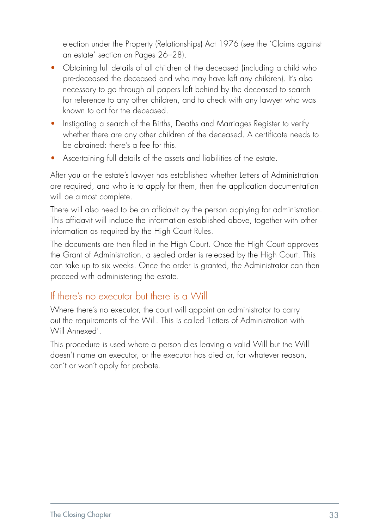<span id="page-34-0"></span>election under the Property (Relationships) Act 1976 (see the 'Claims against an estate' section on [Pages 26–28](#page-27-0)).

- Obtaining full details of all children of the deceased (including a child who pre-deceased the deceased and who may have left any children). It's also necessary to go through all papers left behind by the deceased to search for reference to any other children, and to check with any lawyer who was known to act for the deceased.
- Instigating a search of the Births, Deaths and Marriages Register to verify whether there are any other children of the deceased. A certificate needs to be obtained: there's a fee for this.
- Ascertaining full details of the assets and liabilities of the estate.

After you or the estate's lawyer has established whether Letters of Administration are required, and who is to apply for them, then the application documentation will be almost complete.

There will also need to be an affidavit by the person applying for administration. This affidavit will include the information established above, together with other information as required by the High Court Rules.

The documents are then filed in the High Court. Once the High Court approves the Grant of Administration, a sealed order is released by the High Court. This can take up to six weeks. Once the order is granted, the Administrator can then proceed with administering the estate.

#### If there's no executor but there is a Will

Where there's no executor, the court will appoint an administrator to carry out the requirements of the Will. This is called 'Letters of Administration with Will Annexed'

This procedure is used where a person dies leaving a valid Will but the Will doesn't name an executor, or the executor has died or, for whatever reason, can't or won't apply for probate.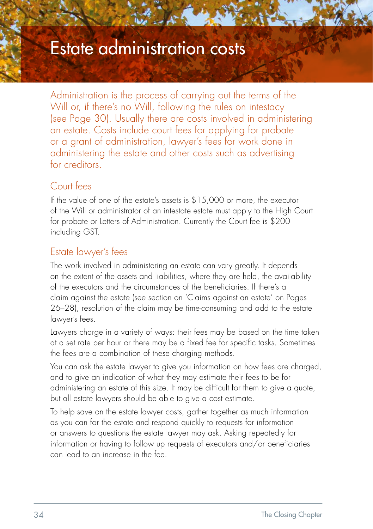# <span id="page-35-0"></span>Estate administration costs

Administration is the process of carrying out the terms of the Will or, if there's no Will, following the rules on intestacy (see [Page 30\)](#page-31-0). Usually there are costs involved in administering an estate. Costs include court fees for applying for probate or a grant of administration, lawyer's fees for work done in administering the estate and other costs such as advertising for creditors.

#### Court fees

If the value of one of the estate's assets is \$15,000 or more, the executor of the Will or administrator of an intestate estate must apply to the High Court for probate or Letters of Administration. Currently the Court fee is \$200 including GST.

#### Estate lawyer's fees

The work involved in administering an estate can vary greatly. It depends on the extent of the assets and liabilities, where they are held, the availability of the executors and the circumstances of the beneficiaries. If there's a claim against the estate (see section on 'Claims against an estate' on [Pages](#page-27-0)  [26–28\)](#page-27-0), resolution of the claim may be time-consuming and add to the estate lawyer's fees.

Lawyers charge in a variety of ways: their fees may be based on the time taken at a set rate per hour or there may be a fixed fee for specific tasks. Sometimes the fees are a combination of these charging methods.

You can ask the estate lawyer to give you information on how fees are charged, and to give an indication of what they may estimate their fees to be for administering an estate of this size. It may be difficult for them to give a quote, but all estate lawyers should be able to give a cost estimate.

To help save on the estate lawyer costs, gather together as much information as you can for the estate and respond quickly to requests for information or answers to questions the estate lawyer may ask. Asking repeatedly for information or having to follow up requests of executors and/or beneficiaries can lead to an increase in the fee.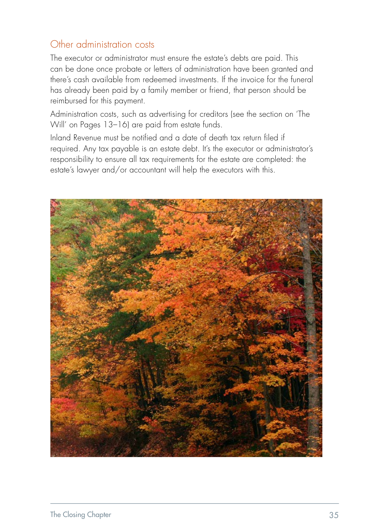### <span id="page-36-0"></span>Other administration costs

The executor or administrator must ensure the estate's debts are paid. This can be done once probate or letters of administration have been granted and there's cash available from redeemed investments. If the invoice for the funeral has already been paid by a family member or friend, that person should be reimbursed for this payment.

Administration costs, such as advertising for creditors (see the section on 'The Will' on [Pages 13–16](#page-14-0)) are paid from estate funds.

Inland Revenue must be notified and a date of death tax return filed if required. Any tax payable is an estate debt. It's the executor or administrator's responsibility to ensure all tax requirements for the estate are completed: the estate's lawyer and/or accountant will help the executors with this.

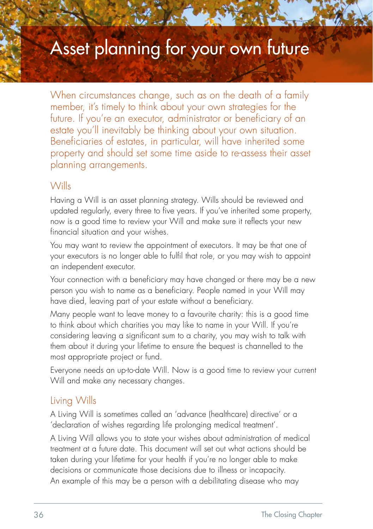# <span id="page-37-0"></span>Asset planning for your own future

When circumstances change, such as on the death of a family member, it's timely to think about your own strategies for the future. If you're an executor, administrator or beneficiary of an estate you'll inevitably be thinking about your own situation. Beneficiaries of estates, in particular, will have inherited some property and should set some time aside to re-assess their asset planning arrangements.

#### Wills

Having a Will is an asset planning strategy. Wills should be reviewed and updated regularly, every three to five years. If you've inherited some property, now is a good time to review your Will and make sure it reflects your new financial situation and your wishes.

You may want to review the appointment of executors. It may be that one of your executors is no longer able to fulfil that role, or you may wish to appoint an independent executor.

Your connection with a beneficiary may have changed or there may be a new person you wish to name as a beneficiary. People named in your Will may have died, leaving part of your estate without a beneficiary.

Many people want to leave money to a favourite charity: this is a good time to think about which charities you may like to name in your Will. If you're considering leaving a significant sum to a charity, you may wish to talk with them about it during your lifetime to ensure the bequest is channelled to the most appropriate project or fund.

Everyone needs an up-to-date Will. Now is a good time to review your current Will and make any necessary changes.

### Living Wills

A Living Will is sometimes called an 'advance (healthcare) directive' or a 'declaration of wishes regarding life prolonging medical treatment'.

A Living Will allows you to state your wishes about administration of medical treatment at a future date. This document will set out what actions should be taken during your lifetime for your health if you're no longer able to make decisions or communicate those decisions due to illness or incapacity. An example of this may be a person with a debilitating disease who may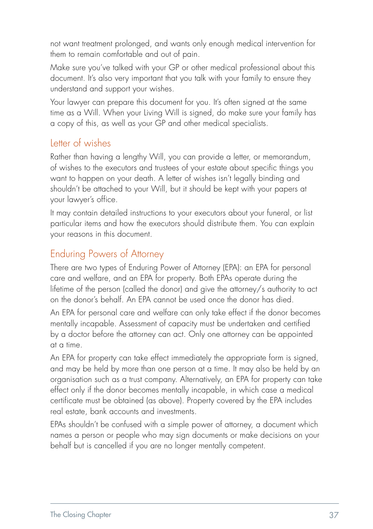<span id="page-38-0"></span>not want treatment prolonged, and wants only enough medical intervention for them to remain comfortable and out of pain.

Make sure you've talked with your GP or other medical professional about this document. It's also very important that you talk with your family to ensure they understand and support your wishes.

Your lawyer can prepare this document for you. It's often signed at the same time as a Will. When your Living Will is signed, do make sure your family has a copy of this, as well as your GP and other medical specialists.

### Letter of wishes

Rather than having a lengthy Will, you can provide a letter, or memorandum, of wishes to the executors and trustees of your estate about specific things you want to happen on your death. A letter of wishes isn't legally binding and shouldn't be attached to your Will, but it should be kept with your papers at your lawyer's office.

It may contain detailed instructions to your executors about your funeral, or list particular items and how the executors should distribute them. You can explain your reasons in this document.

### Enduring Powers of Attorney

There are two types of Enduring Power of Attorney (EPA): an EPA for personal care and welfare, and an EPA for property. Both EPAs operate during the lifetime of the person (called the donor) and give the attorney/s authority to act on the donor's behalf. An EPA cannot be used once the donor has died.

An EPA for personal care and welfare can only take effect if the donor becomes mentally incapable. Assessment of capacity must be undertaken and certified by a doctor before the attorney can act. Only one attorney can be appointed at a time.

An EPA for property can take effect immediately the appropriate form is signed, and may be held by more than one person at a time. It may also be held by an organisation such as a trust company. Alternatively, an EPA for property can take effect only if the donor becomes mentally incapable, in which case a medical certificate must be obtained (as above). Property covered by the EPA includes real estate, bank accounts and investments.

EPAs shouldn't be confused with a simple power of attorney, a document which names a person or people who may sign documents or make decisions on your behalf but is cancelled if you are no longer mentally competent.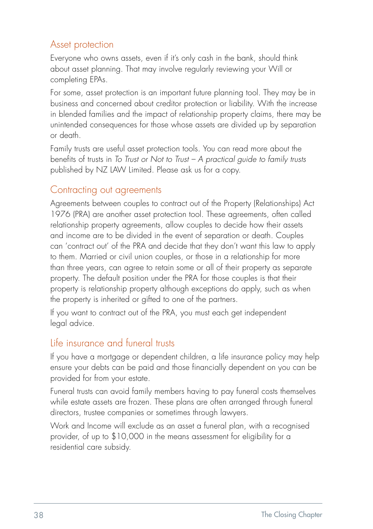### <span id="page-39-0"></span>Asset protection

Everyone who owns assets, even if it's only cash in the bank, should think about asset planning. That may involve regularly reviewing your Will or completing EPAs.

For some, asset protection is an important future planning tool. They may be in business and concerned about creditor protection or liability. With the increase in blended families and the impact of relationship property claims, there may be unintended consequences for those whose assets are divided up by separation or death.

Family trusts are useful asset protection tools. You can read more about the benefits of trusts in *To Trust or Not to Trust – A practical guide to family trusts* published by NZ LAW Limited. Please ask us for a copy.

### Contracting out agreements

Agreements between couples to contract out of the Property (Relationships) Act 1976 (PRA) are another asset protection tool. These agreements, often called relationship property agreements, allow couples to decide how their assets and income are to be divided in the event of separation or death. Couples can 'contract out' of the PRA and decide that they don't want this law to apply to them. Married or civil union couples, or those in a relationship for more than three years, can agree to retain some or all of their property as separate property. The default position under the PRA for those couples is that their property is relationship property although exceptions do apply, such as when the property is inherited or gifted to one of the partners.

If you want to contract out of the PRA, you must each get independent legal advice.

### Life insurance and funeral trusts

If you have a mortgage or dependent children, a life insurance policy may help ensure your debts can be paid and those financially dependent on you can be provided for from your estate.

Funeral trusts can avoid family members having to pay funeral costs themselves while estate assets are frozen. These plans are often arranged through funeral directors, trustee companies or sometimes through lawyers.

Work and Income will exclude as an asset a funeral plan, with a recognised provider, of up to \$10,000 in the means assessment for eligibility for a residential care subsidy.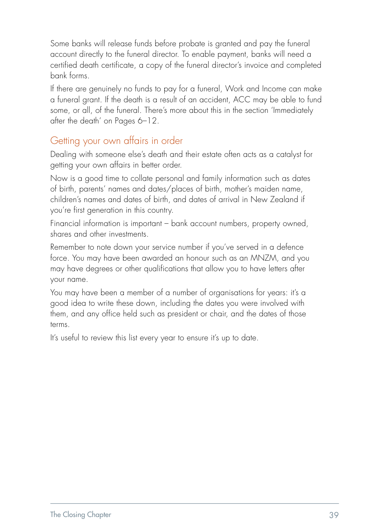<span id="page-40-0"></span>Some banks will release funds before probate is granted and pay the funeral account directly to the funeral director. To enable payment, banks will need a certified death certificate, a copy of the funeral director's invoice and completed bank forms.

If there are genuinely no funds to pay for a funeral, Work and Income can make a funeral grant. If the death is a result of an accident, ACC may be able to fund some, or all, of the funeral. There's more about this in the section 'Immediately after the death' on [Pages 6–12.](#page-7-0)

### Getting your own affairs in order

Dealing with someone else's death and their estate often acts as a catalyst for getting your own affairs in better order.

Now is a good time to collate personal and family information such as dates of birth, parents' names and dates/places of birth, mother's maiden name, children's names and dates of birth, and dates of arrival in New Zealand if you're first generation in this country.

Financial information is important – bank account numbers, property owned, shares and other investments.

Remember to note down your service number if you've served in a defence force. You may have been awarded an honour such as an MNZM, and you may have degrees or other qualifications that allow you to have letters after your name.

You may have been a member of a number of organisations for years: it's a good idea to write these down, including the dates you were involved with them, and any office held such as president or chair, and the dates of those terms.

It's useful to review this list every year to ensure it's up to date.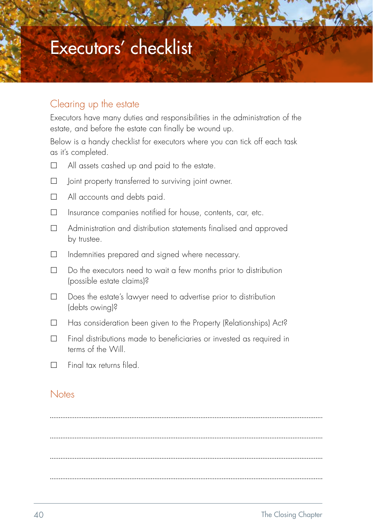# <span id="page-41-0"></span>Executors' checklist

#### Clearing up the estate

Executors have many duties and responsibilities in the administration of the estate, and before the estate can finally be wound up.

Below is a handy checklist for executors where you can tick off each task as it's completed.

- $\Box$  All assets cashed up and paid to the estate.
- $\Box$  Joint property transferred to surviving joint owner.
- $\Box$  All accounts and debts paid.
- $\Box$  Insurance companies notified for house, contents, car, etc.
- Administration and distribution statements finalised and approved by trustee.
- $\Box$  Indemnities prepared and signed where necessary.
- $\Box$  Do the executors need to wait a few months prior to distribution (possible estate claims)?
- D Does the estate's lawyer need to advertise prior to distribution (debts owing)?
- $\Box$  Has consideration been given to the Property (Relationships) Act?
- $\Box$  Final distributions made to beneficiaries or invested as required in terms of the Will.
- $\Box$  Final tax returns filed.

# **Notes**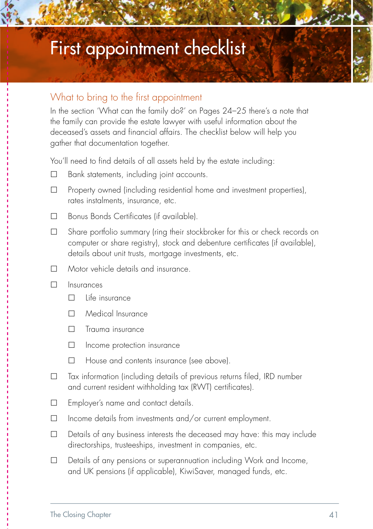# <span id="page-42-0"></span>First appointment checklist

#### What to bring to the first appointment

In the section 'What can the family do?' on [Pages 24–25](#page-25-0) there's a note that the family can provide the estate lawyer with useful information about the deceased's assets and financial affairs. The checklist below will help you gather that documentation together.

You'll need to find details of all assets held by the estate including:

- □ Bank statements, including joint accounts.
- $\square$  Property owned (including residential home and investment properties), rates instalments, insurance, etc.
- Bonus Bonds Certificates (if available).
- Share portfolio summary (ring their stockbroker for this or check records on computer or share registry), stock and debenture certificates (if available), details about unit trusts, mortgage investments, etc.
- Motor vehicle details and insurance.
- Insurances
	- $\Box$  life insurance
	- Medical Insurance
	- $\Box$  Trauma insurance
	- □ Income protection insurance
	- $\Box$  House and contents insurance (see above).
- $\Box$  Tax information (including details of previous returns filed, IRD number and current resident withholding tax (RWT) certificates).
- Employer's name and contact details.
- $\Box$  Income details from investments and/or current employment.
- $\Box$  Details of any business interests the deceased may have: this may include directorships, trusteeships, investment in companies, etc.
- D Details of any pensions or superannuation including Work and Income, and UK pensions (if applicable), KiwiSaver, managed funds, etc.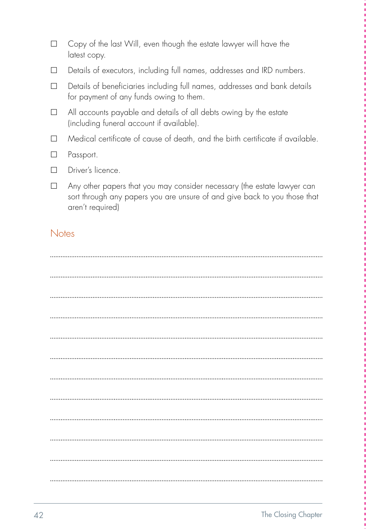- $\Box$  Copy of the last Will, even though the estate lawyer will have the latest copy.
- Details of executors, including full names, addresses and IRD numbers.
- $\Box$  Details of beneficiaries including full names, addresses and bank details for payment of any funds owing to them.
- $\Box$  All accounts payable and details of all debts owing by the estate (including funeral account if available).
- $\Box$  Medical certificate of cause of death, and the birth certificate if available.
- Passport.
- Driver's licence.
- $\Box$  Any other papers that you may consider necessary (the estate lawyer can sort through any papers you are unsure of and give back to you those that aren't required)

#### **Notes**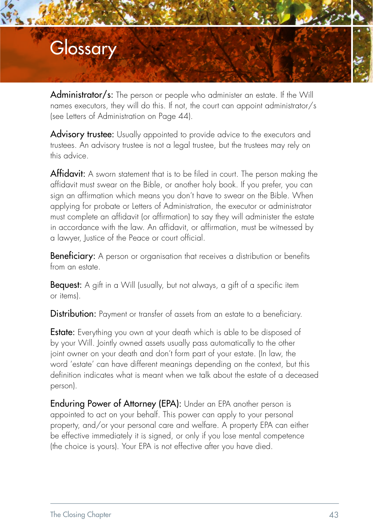<span id="page-44-0"></span>

Administrator/s: The person or people who administer an estate. If the Will names executors, they will do this. If not, the court can appoint administrator/s (see Letters of Administration on [Page 44](#page-45-0)).

Advisory trustee: Usually appointed to provide advice to the executors and trustees. An advisory trustee is not a legal trustee, but the trustees may rely on this advice.

Affidavit: A sworn statement that is to be filed in court. The person making the affidavit must swear on the Bible, or another holy book. If you prefer, you can sign an affirmation which means you don't have to swear on the Bible. When applying for probate or Letters of Administration, the executor or administrator must complete an affidavit (or affirmation) to say they will administer the estate in accordance with the law. An affidavit, or affirmation, must be witnessed by a lawyer, Justice of the Peace or court official.

Beneficiary: A person or organisation that receives a distribution or benefits from an estate.

Bequest: A gift in a Will (usually, but not always, a gift of a specific item or items).

Distribution: Payment or transfer of assets from an estate to a beneficiary.

**Estate:** Everything you own at your death which is able to be disposed of by your Will. Jointly owned assets usually pass automatically to the other joint owner on your death and don't form part of your estate. (In law, the word 'estate' can have different meanings depending on the context, but this definition indicates what is meant when we talk about the estate of a deceased person).

Enduring Power of Attorney (EPA): Under an EPA another person is appointed to act on your behalf. This power can apply to your personal property, and/or your personal care and welfare. A property EPA can either be effective immediately it is signed, or only if you lose mental competence (the choice is yours). Your EPA is not effective after you have died.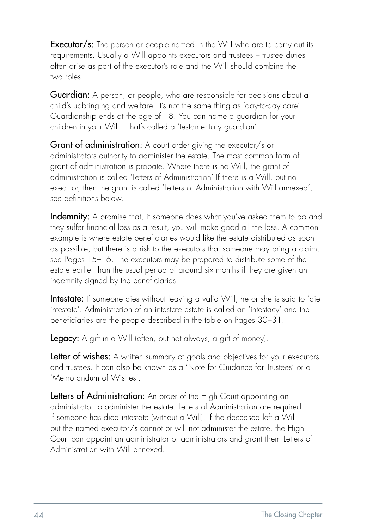<span id="page-45-0"></span>Executor/s: The person or people named in the Will who are to carry out its requirements. Usually a Will appoints executors and trustees – trustee duties often arise as part of the executor's role and the Will should combine the two roles.

**Guardian:** A person, or people, who are responsible for decisions about a child's upbringing and welfare. It's not the same thing as 'day-to-day care'. Guardianship ends at the age of 18. You can name a guardian for your children in your Will – that's called a 'testamentary guardian'.

Grant of administration: A court order giving the executor/s or administrators authority to administer the estate. The most common form of grant of administration is probate. Where there is no Will, the grant of administration is called 'Letters of Administration' If there is a Will, but no executor, then the grant is called 'Letters of Administration with Will annexed', see definitions below.

**Indemnity:** A promise that, if someone does what you've asked them to do and they suffer financial loss as a result, you will make good all the loss. A common example is where estate beneficiaries would like the estate distributed as soon as possible, but there is a risk to the executors that someone may bring a claim, see [Pages 15–16](#page-16-0). The executors may be prepared to distribute some of the estate earlier than the usual period of around six months if they are given an indemnity signed by the beneficiaries.

Intestate: If someone dies without leaving a valid Will, he or she is said to 'die intestate'. Administration of an intestate estate is called an 'intestacy' and the beneficiaries are the people described in the table on [Pages 30–31](#page-31-0).

Legacy: A gift in a Will (often, but not always, a gift of money).

Letter of wishes: A written summary of goals and objectives for your executors and trustees. It can also be known as a 'Note for Guidance for Trustees' or a 'Memorandum of Wishes'.

Letters of Administration: An order of the High Court appointing an administrator to administer the estate. Letters of Administration are required if someone has died intestate (without a Will). If the deceased left a Will but the named executor/s cannot or will not administer the estate, the High Court can appoint an administrator or administrators and grant them Letters of Administration with Will annexed.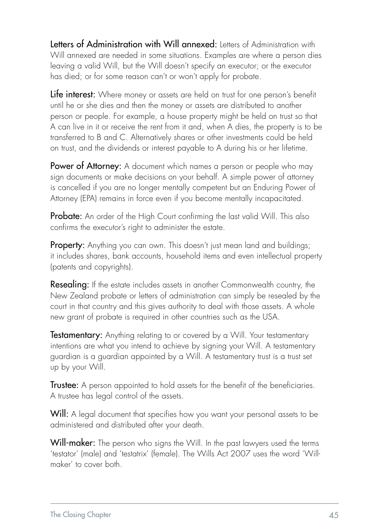Letters of Administration with Will annexed: Letters of Administration with Will annexed are needed in some situations. Examples are where a person dies leaving a valid Will, but the Will doesn't specify an executor; or the executor has died; or for some reason can't or won't apply for probate.

Life interest: Where money or assets are held on trust for one person's benefit until he or she dies and then the money or assets are distributed to another person or people. For example, a house property might be held on trust so that A can live in it or receive the rent from it and, when A dies, the property is to be transferred to B and C. Alternatively shares or other investments could be held on trust, and the dividends or interest payable to A during his or her lifetime.

**Power of Attorney:** A document which names a person or people who may sign documents or make decisions on your behalf. A simple power of attorney is cancelled if you are no longer mentally competent but an Enduring Power of Attorney (EPA) remains in force even if you become mentally incapacitated.

**Probate:** An order of the High Court confirming the last valid Will. This also confirms the executor's right to administer the estate.

**Property:** Anything you can own. This doesn't just mean land and buildings; it includes shares, bank accounts, household items and even intellectual property (patents and copyrights).

Resealing: If the estate includes assets in another Commonwealth country, the New Zealand probate or letters of administration can simply be resealed by the court in that country and this gives authority to deal with those assets. A whole new grant of probate is required in other countries such as the USA.

**Testamentary:** Anything relating to or covered by a Will. Your testamentary intentions are what you intend to achieve by signing your Will. A testamentary guardian is a guardian appointed by a Will. A testamentary trust is a trust set up by your Will.

**Trustee:** A person appointed to hold assets for the benefit of the beneficiaries. A trustee has legal control of the assets.

Will: A legal document that specifies how you want your personal assets to be administered and distributed after your death.

Will-maker: The person who sians the Will. In the past lawyers used the terms 'testator' (male) and 'testatrix' (female). The Wills Act 2007 uses the word 'Willmaker' to cover both.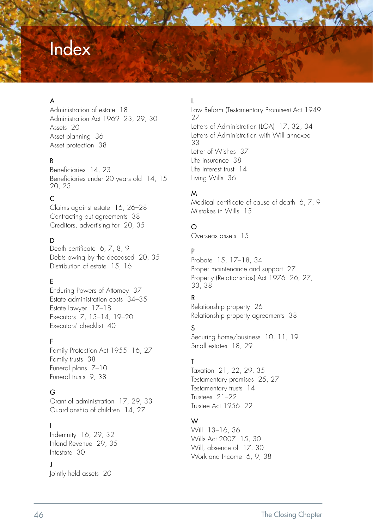# **Index**

#### A

Administration of estate 18 Administration Act 1969 23, 29, 30 Assets 20 Asset planning 36 Asset protection 38

#### B

Beneficiaries 14, 23 Beneficiaries under 20 years old 14, 15 20, 23

#### C

Claims against estate 16, 26–28 Contracting out agreements 38 Creditors, advertising for 20, 35

#### D

Death certificate 6, 7, 8, 9 Debts owing by the deceased 20, 35 Distribution of estate 15, 16

#### E

Enduring Powers of Attorney 37 Estate administration costs 34–35 Estate lawyer 17–18 Executors 7, 13–14, 19–20 Executors' checklist 40

#### F

Family Protection Act 1955 16, 27 Family trusts 38 Funeral plans 7–10 Funeral trusts 9, 38

#### G

Grant of administration 17, 29, 33 Guardianship of children 14, 27

#### I

Indemnity 16, 29, 32 Inland Revenue 29, 35 Intestate 30

#### J

Jointly held assets 20

#### L

Law Reform (Testamentary Promises) Act 1949 27 Letters of Administration (LOA) 17, 32, 34 Letters of Administration with Will annexed 33 Letter of Wishes 37 Life insurance 38 Life interest trust 14 Living Wills 36

#### M

Medical certificate of cause of death 6, 7, 9 Mistakes in Wills 15

#### $\Omega$

Overseas assets 15

#### P

Probate 15, 17–18, 34 Proper maintenance and support 27 Property (Relationships) Act 1976 26, 27, 33, 38

#### R

Relationship property 26 Relationship property agreements 38

#### S

Securing home/business 10, 11, 19 Small estates 18, 29

#### T

Taxation 21, 22, 29, 35 Testamentary promises 25, 27 Testamentary trusts 14 Trustees 21–22 Trustee Act 1956 22

#### W

Will 13–16, 36 Wills Act 2007 15, 30 Will, absence of 17, 30 Work and Income 6, 9, 38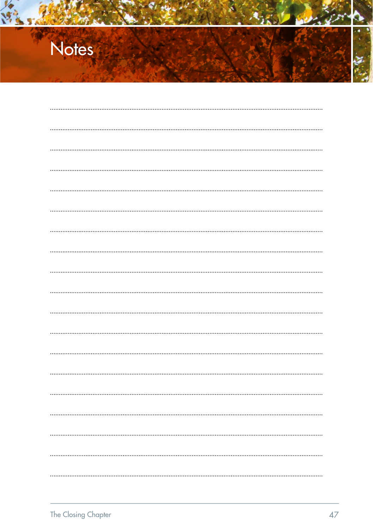